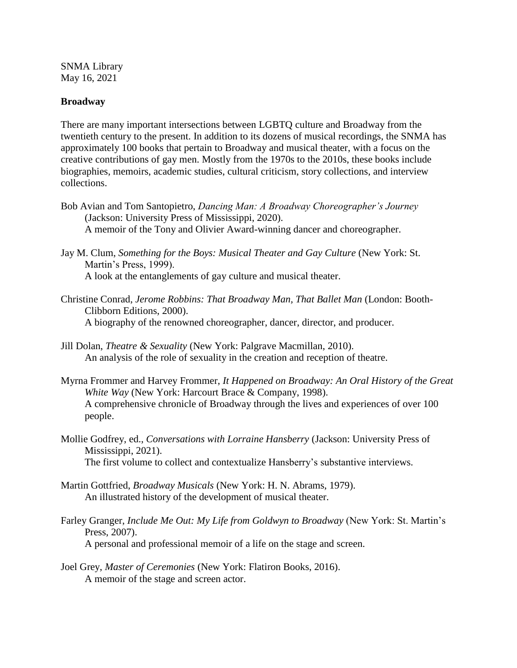SNMA Library May 16, 2021

## **Broadway**

There are many important intersections between LGBTQ culture and Broadway from the twentieth century to the present. In addition to its dozens of musical recordings, the SNMA has approximately 100 books that pertain to Broadway and musical theater, with a focus on the creative contributions of gay men. Mostly from the 1970s to the 2010s, these books include biographies, memoirs, academic studies, cultural criticism, story collections, and interview collections.

- Bob Avian and Tom Santopietro, *Dancing Man: A Broadway Choreographer's Journey*  (Jackson: University Press of Mississippi, 2020). A memoir of the Tony and Olivier Award-winning dancer and choreographer.
- Jay M. Clum, *Something for the Boys: Musical Theater and Gay Culture* (New York: St. Martin's Press, 1999). A look at the entanglements of gay culture and musical theater.
- Christine Conrad, *Jerome Robbins: That Broadway Man, That Ballet Man* (London: Booth-Clibborn Editions, 2000). A biography of the renowned choreographer, dancer, director, and producer.
- Jill Dolan, *Theatre & Sexuality* (New York: Palgrave Macmillan, 2010). An analysis of the role of sexuality in the creation and reception of theatre.
- Myrna Frommer and Harvey Frommer, *It Happened on Broadway: An Oral History of the Great White Way* (New York: Harcourt Brace & Company, 1998). A comprehensive chronicle of Broadway through the lives and experiences of over 100 people.
- Mollie Godfrey, ed., *Conversations with Lorraine Hansberry* (Jackson: University Press of Mississippi, 2021). The first volume to collect and contextualize Hansberry's substantive interviews.
- Martin Gottfried, *Broadway Musicals* (New York: H. N. Abrams, 1979). An illustrated history of the development of musical theater.
- Farley Granger, *Include Me Out: My Life from Goldwyn to Broadway* (New York: St. Martin's Press, 2007).

A personal and professional memoir of a life on the stage and screen.

Joel Grey, *Master of Ceremonies* (New York: Flatiron Books, 2016). A memoir of the stage and screen actor.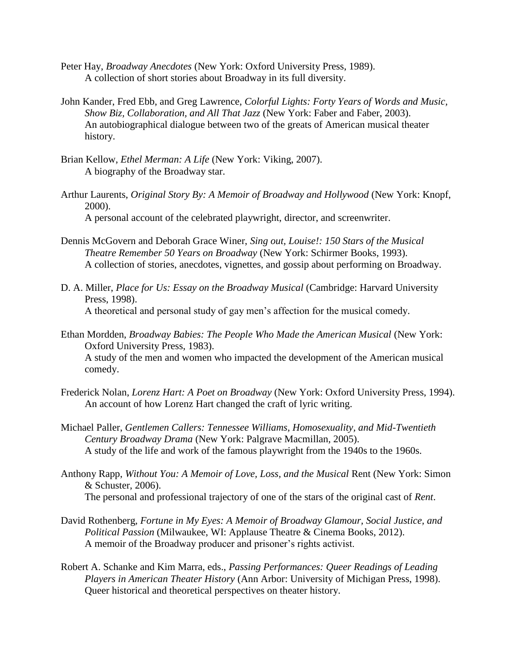- Peter Hay, *Broadway Anecdotes* (New York: Oxford University Press, 1989). A collection of short stories about Broadway in its full diversity.
- John Kander, Fred Ebb, and Greg Lawrence, *Colorful Lights: Forty Years of Words and Music, Show Biz, Collaboration, and All That Jazz* (New York: Faber and Faber, 2003). An autobiographical dialogue between two of the greats of American musical theater history.
- Brian Kellow, *Ethel Merman: A Life* (New York: Viking, 2007). A biography of the Broadway star.
- Arthur Laurents, *Original Story By: A Memoir of Broadway and Hollywood* (New York: Knopf, 2000). A personal account of the celebrated playwright, director, and screenwriter.
- Dennis McGovern and Deborah Grace Winer, *Sing out, Louise!: 150 Stars of the Musical Theatre Remember 50 Years on Broadway* (New York: Schirmer Books, 1993). A collection of stories, anecdotes, vignettes, and gossip about performing on Broadway.
- D. A. Miller, *Place for Us: Essay on the Broadway Musical* (Cambridge: Harvard University Press, 1998). A theoretical and personal study of gay men's affection for the musical comedy.
- Ethan Mordden, *Broadway Babies: The People Who Made the American Musical* (New York: Oxford University Press, 1983). A study of the men and women who impacted the development of the American musical comedy.
- Frederick Nolan, *Lorenz Hart: A Poet on Broadway* (New York: Oxford University Press, 1994). An account of how Lorenz Hart changed the craft of lyric writing.
- Michael Paller, *Gentlemen Callers: Tennessee Williams, Homosexuality, and Mid-Twentieth Century Broadway Drama* (New York: Palgrave Macmillan, 2005). A study of the life and work of the famous playwright from the 1940s to the 1960s.
- Anthony Rapp, *Without You: A Memoir of Love, Loss, and the Musical* Rent (New York: Simon & Schuster, 2006). The personal and professional trajectory of one of the stars of the original cast of *Rent*.
- David Rothenberg, *Fortune in My Eyes: A Memoir of Broadway Glamour, Social Justice, and Political Passion* (Milwaukee, WI: Applause Theatre & Cinema Books, 2012). A memoir of the Broadway producer and prisoner's rights activist.
- Robert A. Schanke and Kim Marra, eds., *Passing Performances: Queer Readings of Leading Players in American Theater History* (Ann Arbor: University of Michigan Press, 1998). Queer historical and theoretical perspectives on theater history.